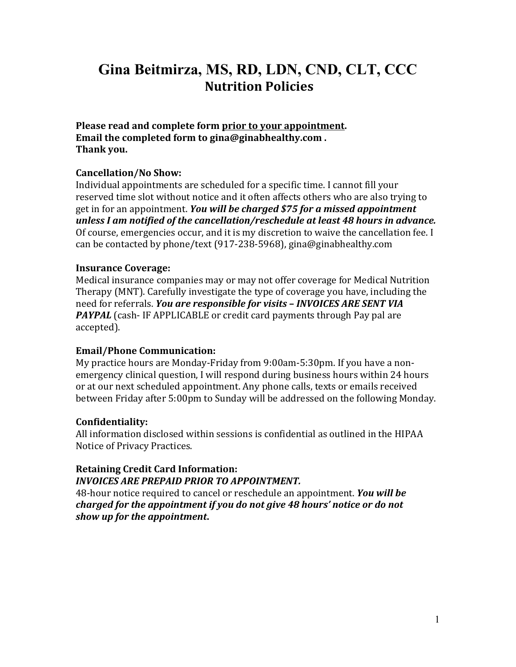# **Gina Beitmirza, MS, RD, LDN, CND, CLT, CCC Nutrition Policies**

**Please read and complete form prior to your appointment. Email the completed form [to gina@ginabhealthy.com .](mailto:gina@ginabhealthy.com) Thank you.**

#### **Cancellation/No Show:**

Individual appointments are scheduled for a specific time. I cannot fill your reserved time slot without notice and it often affects others who are also trying to get in for an appointment. *You will be charged \$75 for a missed appointment unless I am notified of the cancellation/reschedule at least 48 hours in advance.*  Of course, emergencies occur, and it is my discretion to waive the cancellation fee. I can be contacted by phone/text (917-238-5968)[, gina@ginabhealthy.com](mailto:gina@ginabhealthy.com)

#### **Insurance Coverage:**

Medical insurance companies may or may not offer coverage for Medical Nutrition Therapy (MNT). Carefully investigate the type of coverage you have, including the need for referrals. *You are responsible for visits – INVOICES ARE SENT VIA*  **PAYPAL** (cash-IF APPLICABLE or credit card payments through Pay pal are accepted).

#### **Email/Phone Communication:**

My practice hours are Monday-Friday from 9:00am-5:30pm. If you have a nonemergency clinical question, I will respond during business hours within 24 hours or at our next scheduled appointment. Any phone calls, texts or emails received between Friday after 5:00pm to Sunday will be addressed on the following Monday.

#### **Confidentiality:**

All information disclosed within sessions is confidential as outlined in the HIPAA Notice of Privacy Practices.

## **Retaining Credit Card Information:** *INVOICES ARE PREPAID PRIOR TO APPOINTMENT.*

48-hour notice required to cancel or reschedule an appointment. *You will be charged for the appointment if you do not give 48 hours' notice or do not show up for the appointment***.**